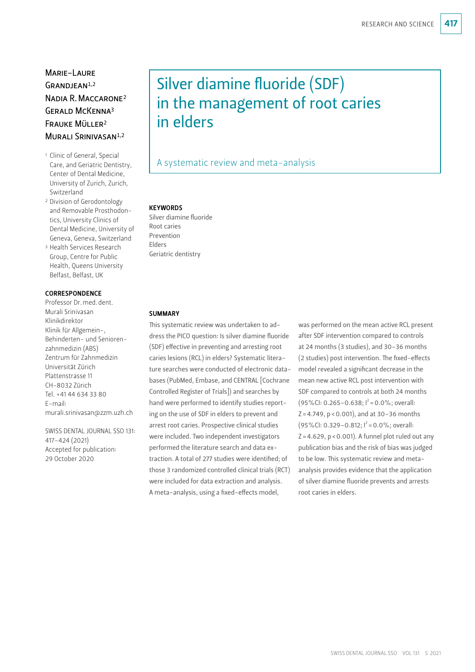# Marie-Laure  $GRANDIFAN<sup>1,2</sup>$ Nadia R.Maccarone2 GERALD MCKENNA<sup>3</sup> Frauke Müller2 MURALI SRINIVASAN<sup>1,2</sup>

- 1 Clinic of General, Special Care, and Geriatric Dentistry, Center of Dental Medicine, University of Zurich, Zurich, Switzerland
- 2 Division of Gerodontology and Removable Prosthodontics, University Clinics of Dental Medicine, University of Geneva, Geneva, Switzerland
- 3 Health Services Research Group, Centre for Public Health, Queens University Belfast, Belfast, UK

## **CORRESPONDENCE**

Professor Dr.med.dent. Murali Srinivasan Klinikdirektor Klinik für Allgemein-, Behinderten- und Seniorenzahnmedizin (ABS) Zentrum für Zahnmedizin Universität Zürich Plattenstrasse 11 CH-8032 Zürich Tel. +41 44 634 33 80 E-mail: murali.srinivasan@zzm.uzh.ch

SWISS DENTAL JOURNAL SSO 131: 417–424 (2021) Accepted for publication: 29 October 2020

# Silver diamine fluoride (SDF) in the management of root caries in elders

# A systematic review and meta-analysis

#### **KEYWORDS**

Silver diamine fluoride Root caries Prevention Elders Geriatric dentistry

## **SUMMARY**

This systematic review was undertaken to address the PICO question: Is silver diamine fluoride (SDF) effective in preventing and arresting root caries lesions (RCL) in elders? Systematic literature searches were conducted of electronic databases (PubMed, Embase, and CENTRAL [Cochrane Controlled Register of Trials]) and searches by hand were performed to identify studies reporting on the use of SDF in elders to prevent and arrest root caries. Prospective clinical studies were included. Two independent investigators performed the literature search and data extraction. A total of 277 studies were identified; of those 3 randomized controlled clinical trials (RCT) were included for data extraction and analysis. A meta-analysis, using a fixed-effects model,

was performed on the mean active RCL present after SDF intervention compared to controls at 24 months (3 studies), and 30–36 months (2 studies) post intervention. The fixed-effects model revealed a significant decrease in the mean new active RCL post intervention with SDF compared to controls at both 24 months  $(95\%$ CI: 0.265-0.638;  $I^2$  = 0.0%; overall:  $Z = 4.749$ ,  $p < 0.001$ ), and at 30-36 months  $(95\%$ CI: 0.329-0.812;  $I^2$  = 0.0%; overall:  $Z = 4.629$ ,  $p < 0.001$ ). A funnel plot ruled out any publication bias and the risk of bias was judged to be low. This systematic review and metaanalysis provides evidence that the application of silver diamine fluoride prevents and arrests root caries in elders.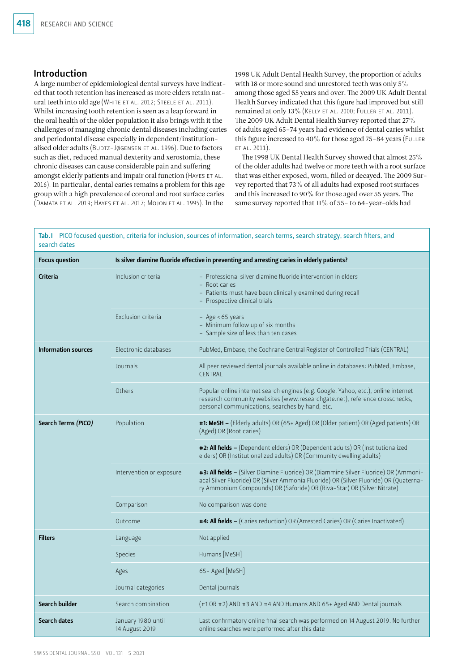## Introduction

A large number of epidemiological dental surveys have indicated that tooth retention has increased as more elders retain natural teeth into old age (White et al. 2012; Steele et al. 2011). Whilst increasing tooth retention is seen as a leap forward in the oral health of the older population it also brings with it the challenges of managing chronic dental diseases including caries and periodontal disease especially in dependent/institutionalised older adults (BUDTZ-JØGENSEN ET AL. 1996). Due to factors such as diet, reduced manual dexterity and xerostomia, these chronic diseases can cause considerable pain and suffering amongst elderly patients and impair oral function (HAYES ET AL. 2016). In particular, dental caries remains a problem for this age group with a high prevalence of coronal and root surface caries (Damata et al. 2019; Hayes et al. 2017; Mojon et al. 1995). In the

1998 UK Adult Dental Health Survey, the proportion of adults with 18 or more sound and unrestored teeth was only 5% among those aged 55 years and over. The 2009 UK Adult Dental Health Survey indicated that this figure had improved but still remained at only 13% (KELLY ET AL. 2000; FULLER ET AL. 2011). The 2009 UK Adult Dental Health Survey reported that 27% of adults aged 65–74 years had evidence of dental caries whilst this figure increased to 40% for those aged 75-84 years (FULLER et al. 2011).

The 1998 UK Dental Health Survey showed that almost 25% of the older adults had twelve or more teeth with a root surface that was either exposed, worn, filled or decayed. The 2009 Survey reported that 73% of all adults had exposed root surfaces and this increased to 90% for those aged over 55 years. The same survey reported that 11% of 55– to 64-year-olds had

Tab.I PICO focused question, criteria for inclusion, sources of information, search terms, search strategy, search filters, and search dates

| <b>Focus question</b>      | Is silver diamine fluoride effective in preventing and arresting caries in elderly patients? |                                                                                                                                                                                                                                                          |  |  |  |
|----------------------------|----------------------------------------------------------------------------------------------|----------------------------------------------------------------------------------------------------------------------------------------------------------------------------------------------------------------------------------------------------------|--|--|--|
| Criteria                   | Inclusion criteria                                                                           | - Professional silver diamine fluoride intervention in elders<br>- Root caries<br>- Patients must have been clinically examined during recall<br>- Prospective clinical trials                                                                           |  |  |  |
|                            | Exclusion criteria                                                                           | $-$ Age < 65 years<br>- Minimum follow up of six months<br>- Sample size of less than ten cases                                                                                                                                                          |  |  |  |
| <b>Information sources</b> | Electronic databases                                                                         | PubMed, Embase, the Cochrane Central Register of Controlled Trials (CENTRAL)                                                                                                                                                                             |  |  |  |
|                            | Journals                                                                                     | All peer reviewed dental journals available online in databases: PubMed, Embase,<br>CENTRAL                                                                                                                                                              |  |  |  |
|                            | Others                                                                                       | Popular online internet search engines (e.g. Google, Yahoo, etc.), online internet<br>research community websites (www.researchgate.net), reference crosschecks,<br>personal communications, searches by hand, etc.                                      |  |  |  |
| Search Terms (PICO)        | Population                                                                                   | #1: MeSH - (Elderly adults) OR (65+ Aged) OR (Older patient) OR (Aged patients) OR<br>(Aged) OR (Root caries)                                                                                                                                            |  |  |  |
|                            |                                                                                              | #2: All fields - (Dependent elders) OR (Dependent adults) OR (Institutionalized<br>elders) OR (Institutionalized adults) OR (Community dwelling adults)                                                                                                  |  |  |  |
|                            | Intervention or exposure                                                                     | #3: All fields - (Silver Diamine Fluoride) OR (Diammine Silver Fluoride) OR (Ammoni-<br>acal Silver Fluoride) OR (Silver Ammonia Fluoride) OR (Silver Fluoride) OR (Quaterna-<br>ry Ammonium Compounds) OR (Saforide) OR (Riva-Star) OR (Silver Nitrate) |  |  |  |
|                            | Comparison                                                                                   | No comparison was done                                                                                                                                                                                                                                   |  |  |  |
|                            | Outcome                                                                                      | #4: All fields - (Caries reduction) OR (Arrested Caries) OR (Caries Inactivated)                                                                                                                                                                         |  |  |  |
| <b>Filters</b>             | Language                                                                                     | Not applied                                                                                                                                                                                                                                              |  |  |  |
|                            | <b>Species</b>                                                                               | Humans [MeSH]                                                                                                                                                                                                                                            |  |  |  |
|                            | Ages                                                                                         | 65+ Aged [MeSH]                                                                                                                                                                                                                                          |  |  |  |
|                            | Journal categories                                                                           | Dental journals                                                                                                                                                                                                                                          |  |  |  |
| Search builder             | Search combination                                                                           | (#1 OR #2) AND #3 AND #4 AND Humans AND 65+ Aged AND Dental journals                                                                                                                                                                                     |  |  |  |
| Search dates               | January 1980 until<br>14 August 2019                                                         | Last confirmatory online final search was performed on 14 August 2019. No further<br>online searches were performed after this date                                                                                                                      |  |  |  |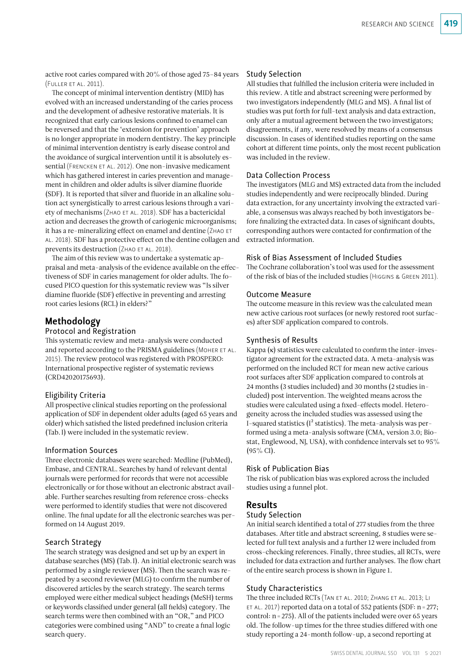active root caries compared with 20% of those aged 75–84 years (Fuller et al. 2011).

The concept of minimal intervention dentistry (MID) has evolved with an increased understanding of the caries process and the development of adhesive restorative materials. It is recognized that early carious lesions confined to enamel can be reversed and that the 'extension for prevention' approach is no longer appropriate in modern dentistry. The key principle of minimal intervention dentistry is early disease control and the avoidance of surgical intervention until it is absolutely essential (FRENCKEN ET AL. 2012). One non-invasive medicament which has gathered interest in caries prevention and management in children and older adults is silver diamine fluoride (SDF). It is reported that silver and fluoride in an alkaline solution act synergistically to arrest carious lesions through a variety of mechanisms (ZHAO ET AL. 2018). SDF has a bactericidal action and decreases the growth of cariogenic microorganisms; it has a re-mineralizing effect on enamel and dentine (Zhao et al. 2018). SDF has a protective effect on the dentine collagen and prevents its destruction (ZHAO ET AL. 2018).

The aim of this review was to undertake a systematic appraisal and meta-analysis of the evidence available on the effectiveness of SDF in caries management for older adults. The focused PICO question for this systematic review was "Is silver diamine fluoride (SDF) effective in preventing and arresting root caries lesions (RCL) in elders?"

## Methodology

#### Protocol and Registration

This systematic review and meta-analysis were conducted and reported according to the PRISMA guidelines (MOHER ET AL. 2015). The review protocol was registered with PROSPERO: International prospective register of systematic reviews (CRD42020175693).

## Eligibility Criteria

All prospective clinical studies reporting on the professional application of SDF in dependent older adults (aged 65 years and older) which satisfied the listed predefined inclusion criteria (Tab.I) were included in the systematic review.

## Information Sources

Three electronic databases were searched: Medline (PubMed), Embase, and CENTRAL. Searches by hand of relevant dental journals were performed for records that were not accessible electronically or for those without an electronic abstract available. Further searches resulting from reference cross-checks were performed to identify studies that were not discovered online. The final update for all the electronic searches was performed on 14 August 2019.

#### Search Strategy

The search strategy was designed and set up by an expert in database searches (MS) (Tab.I). An initial electronic search was performed by a single reviewer (MS). Then the search was repeated by a second reviewer (MLG) to confirm the number of discovered articles by the search strategy. The search terms employed were either medical subject headings (MeSH) terms or keywords classified under general (all fields) category. The search terms were then combined with an "OR," and PICO categories were combined using "AND" to create a final logic search query.

## Study Selection

All studies that fulfilled the inclusion criteria were included in this review. A title and abstract screening were performed by two investigators independently (MLG and MS). A final list of studies was put forth for full-text analysis and data extraction, only after a mutual agreement between the two investigators; disagreements, if any, were resolved by means of a consensus discussion. In cases of identified studies reporting on the same cohort at different time points, only the most recent publication was included in the review.

## Data Collection Process

The investigators (MLG and MS) extracted data from the included studies independently and were reciprocally blinded. During data extraction, for any uncertainty involving the extracted variable, a consensus was always reached by both investigators before finalizing the extracted data. In cases of significant doubts, corresponding authors were contacted for confirmation of the extracted information.

## Risk of Bias Assessment of Included Studies

The Cochrane collaboration's tool was used for the assessment of the risk of bias of the included studies (Higgins & Green 2011).

## Outcome Measure

The outcome measure in this review was the calculated mean new active carious root surfaces (or newly restored root surfaces) after SDF application compared to controls.

## Synthesis of Results

Kappa (κ) statistics were calculated to confirm the inter-investigator agreement for the extracted data. A meta-analysis was performed on the included RCT for mean new active carious root surfaces after SDF application compared to controls at 24 months (3 studies included) and 30 months (2 studies included) post intervention. The weighted means across the studies were calculated using a fixed-effects model. Heterogeneity across the included studies was assessed using the I-squared statistics  $(I^2$  statistics). The meta-analysis was performed using a meta-analysis software (CMA, version 3.0; Biostat, Englewood, NJ, USA), with confidence intervals set to 95% (95% CI).

## Risk of Publication Bias

The risk of publication bias was explored across the included studies using a funnel plot.

## Results

Study Selection

An initial search identified a total of 277 studies from the three databases. After title and abstract screening, 8 studies were selected for full text analysis and a further 12 were included from cross-checking references. Finally, three studies, all RCTs, were included for data extraction and further analyses. The flow chart of the entire search process is shown in Figure 1.

## Study Characteristics

The three included RCTs (TAN ET AL. 2010; ZHANG ET AL. 2013; LI ET AL. 2017) reported data on a total of 552 patients (SDF:  $n = 277$ ; control: n=275). All of the patients included were over 65 years old. The follow-up times for the three studies differed with one study reporting a 24-month follow-up, a second reporting at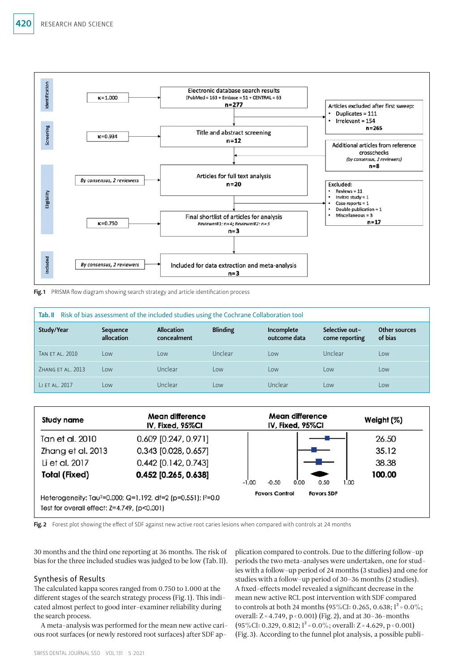

Fig.1 PRISMA flow diagram showing search strategy and article identification process

| Tab. II Risk of bias assessment of the included studies using the Cochrane Collaboration tool |                        |                                  |                 |                            |                                  |                          |  |  |  |
|-----------------------------------------------------------------------------------------------|------------------------|----------------------------------|-----------------|----------------------------|----------------------------------|--------------------------|--|--|--|
| Study/Year                                                                                    | Sequence<br>allocation | <b>Allocation</b><br>concealment | <b>Blinding</b> | Incomplete<br>outcome data | Selective out-<br>come reporting | Other sources<br>of bias |  |  |  |
| TAN FT AL. 2010                                                                               | Low                    | l ow                             | Unclear         | l ow                       | Unclear                          | Low                      |  |  |  |
| 7HANG FT AL. 2013                                                                             | l ow                   | Unclear                          | Low             | l ow                       | l ow                             | Low                      |  |  |  |
| LI ET AL. 2017                                                                                | LOW                    | Unclear                          | Low             | Unclear                    | Low                              | Low                      |  |  |  |



Fig. 2 Forest plot showing the effect of SDF against new active root caries lesions when compared with controls at 24 months

30 months and the third one reporting at 36 months. The risk of bias for the three included studies was judged to be low (Tab.II).

## Synthesis of Results

The calculated kappa scores ranged from 0.750 to 1.000 at the different stages of the search strategy process (Fig. 1). This indicated almost perfect to good inter-examiner reliability during the search process.

A meta-analysis was performed for the mean new active carious root surfaces (or newly restored root surfaces) after SDF application compared to controls. Due to the differing follow-up periods the two meta-analyses were undertaken, one for studies with a follow-up period of 24 months (3 studies) and one for studies with a follow-up period of 30–36 months (2 studies). A fixed-effects model revealed a significant decrease in the mean new active RCL post intervention with SDF compared to controls at both 24 months (95%CI: 0.265, 0.638;  $I^2 = 0.0\%$ ; overall:  $Z = 4.749$ ,  $p < 0.001$ ) (Fig. 2), and at 30–36-months  $(95\%$ CI: 0.329, 0.812; I<sup>2</sup> = 0.0%; overall: Z = 4.629, p < 0.001) (Fig.3). According to the funnel plot analysis, a possible publi-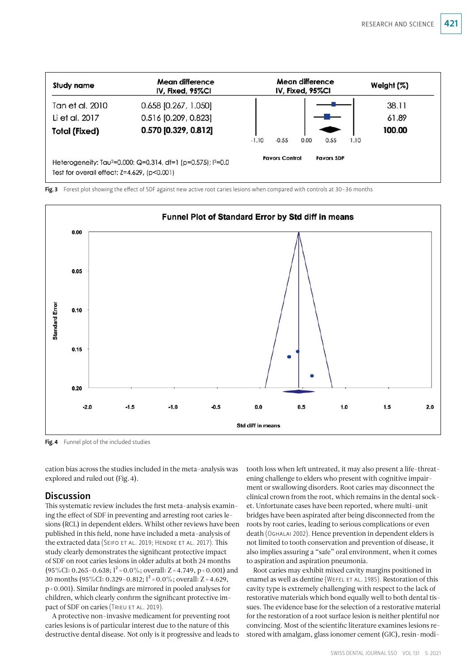

Fig. 3 Forest plot showing the effect of SDF against new active root caries lesions when compared with controls at 30-36 months



Fig. 4 Funnel plot of the included studies

cation bias across the studies included in the meta-analysis was explored and ruled out (Fig.4).

## **Discussion**

This systematic review includes the first meta-analysis examining the effect of SDF in preventing and arresting root caries lesions (RCL) in dependent elders. Whilst other reviews have been published in this field, none have included a meta-analysis of the extracted data (Seifo et al. 2019; Hendre et al. 2017). This study clearly demonstrates the significant protective impact of SDF on root caries lesions in older adults at both 24 months  $(95\%$ CI: 0.265–0.638; I<sup>2</sup> = 0.0%; overall: Z = 4.749, p < 0.001) and 30 months (95%CI: 0.329–0.812;  $I^2 = 0.0\%$ ; overall: Z = 4.629, p<0.001). Similar findings are mirrored in pooled analyses for children, which clearly confirm the significant protective impact of SDF on caries (TRIEU ET AL. 2019).

A protective non-invasive medicament for preventing root caries lesions is of particular interest due to the nature of this destructive dental disease. Not only is it progressive and leads to tooth loss when left untreated, it may also present a life-threatening challenge to elders who present with cognitive impairment or swallowing disorders. Root caries may disconnect the clinical crown from the root, which remains in the dental socket. Unfortunate cases have been reported, where multi-unit bridges have been aspirated after being disconnected from the roots by root caries, leading to serious complications or even death (Oghalai 2002). Hence prevention in dependent elders is not limited to tooth conservation and prevention of disease, it also implies assuring a "safe" oral environment, when it comes to aspiration and aspiration pneumonia.

Root caries may exhibit mixed cavity margins positioned in enamel as well as dentine (Wefel et al. 1985). Restoration of this cavity type is extremely challenging with respect to the lack of restorative materials which bond equally well to both dental tissues. The evidence base for the selection of a restorative material for the restoration of a root surface lesion is neither plentiful nor convincing. Most of the scientific literature examines lesions restored with amalgam, glass ionomer cement (GIC), resin-modi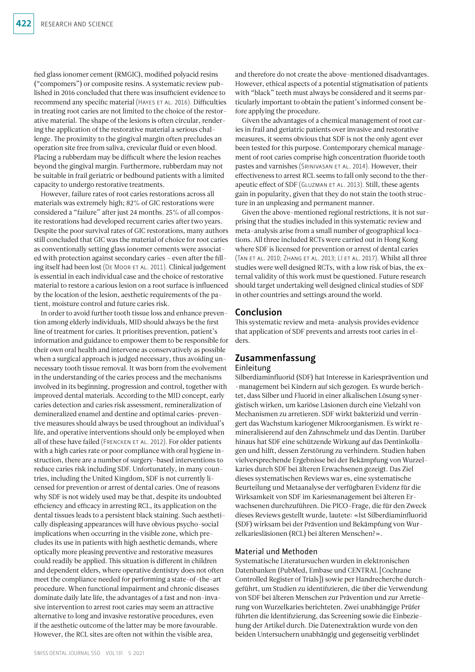fied glass ionomer cement (RMGIC), modified polyacid resins ("compomers") or composite resins. A systematic review published in 2016 concluded that there was insufficient evidence to recommend any specific material (Hayes et al. 2016). Difficulties in treating root caries are not limited to the choice of the restorative material. The shape of the lesions is often circular, rendering the application of the restorative material a serious challenge. The proximity to the gingival margin often precludes an operation site free from saliva, crevicular fluid or even blood. Placing a rubberdam may be difficult where the lesion reaches beyond the gingival margin. Furthermore, rubberdam may not be suitable in frail geriatric or bedbound patients with a limited capacity to undergo restorative treatments.

However, failure rates of root caries restorations across all materials was extremely high; 82% of GIC restorations were considered a "failure" after just 24 months. 25% of all composite restorations had developed recurrent caries after two years. Despite the poor survival rates of GIC restorations, many authors still concluded that GIC was the material of choice for root caries as conventionally setting glass ionomer cements were associated with protection against secondary caries – even after the filling itself had been lost (DE MOOR ET AL. 2011). Clinical judgement is essential in each individual case and the choice of restorative material to restore a carious lesion on a root surface is influenced by the location of the lesion, aesthetic requirements of the patient, moisture control and future caries risk.

In order to avoid further tooth tissue loss and enhance prevention among elderly individuals, MID should always be the first line of treatment for caries. It prioritises prevention, patient's information and guidance to empower them to be responsible for their own oral health and intervene as conservatively as possible when a surgical approach is judged necessary, thus avoiding unnecessary tooth tissue removal. It was born from the evolvement in the understanding of the caries process and the mechanisms involved in its beginning, progression and control, together with improved dental materials. According to the MID concept, early caries detection and caries risk assessment, remineralization of demineralized enamel and dentine and optimal caries-preventive measures should always be used throughout an individual's life, and operative interventions should only be employed when all of these have failed (FRENCKEN ET AL. 2012). For older patients with a high caries rate or poor compliance with oral hygiene instruction, there are a number of surgery-based interventions to reduce caries risk including SDF. Unfortunately, in many countries, including the United Kingdom, SDF is not currently licensed for prevention or arrest of dental caries. One of reasons why SDF is not widely used may be that, despite its undoubted efficiency and efficacy in arresting RCL, its application on the dental tissues leads to a persistent black staining. Such aesthetically displeasing appearances will have obvious psycho-social implications when occurring in the visible zone, which precludes its use in patients with high aesthetic demands, where optically more pleasing preventive and restorative measures could readily be applied. This situation is different in children and dependent elders, where operative dentistry does not often meet the compliance needed for performing a state-of-the-art procedure. When functional impairment and chronic diseases dominate daily late life, the advantages of a fast and non-invasive intervention to arrest root caries may seem an attractive alternative to long and invasive restorative procedures, even if the aesthetic outcome of the latter may be more favourable. However, the RCL sites are often not within the visible area,

and therefore do not create the above-mentioned disadvantages. However, ethical aspects of a potential stigmatisation of patients with "black" teeth must always be considered and it seems particularly important to obtain the patient's informed consent before applying the procedure.

Given the advantages of a chemical management of root caries in frail and geriatric patients over invasive and restorative measures, it seems obvious that SDF is not the only agent ever been tested for this purpose. Contemporary chemical management of root caries comprise high concentration fluoride tooth pastes and varnishes (Srinivasan et al. 2014). However, their effectiveness to arrest RCL seems to fall only second to the therapeutic effect of SDF (Gluzman et al. 2013). Still, these agents gain in popularity, given that they do not stain the tooth structure in an unpleasing and permanent manner.

Given the above-mentioned regional restrictions, it is not surprising that the studies included in this systematic review and meta-analysis arise from a small number of geographical locations. All three included RCTs were carried out in Hong Kong where SDF is licensed for prevention or arrest of dental caries (Tan et al. 2010; Zhang et al. 2013; LI et al. 2017). Whilst all three studies were well designed RCTs, with a low risk of bias, the external validity of this work must be questioned. Future research should target undertaking well designed clinical studies of SDF in other countries and settings around the world.

## Conclusion

This systematic review and meta-analysis provides evidence that application of SDF prevents and arrests root caries in elders.

## Zusammenfassung

## Einleitung

Silberdiaminfluorid (SDF) hat Interesse in Kariesprävention und -management bei Kindern auf sich gezogen. Es wurde berichtet, dass Silber und Fluorid in einer alkalischen Lösung synergistisch wirken, um kariöse Läsionen durch eine Vielzahl von Mechanismen zu arretieren. SDF wirkt bakterizid und verringert das Wachstum kariogener Mikroorganismen. Es wirkt remineralisierend auf den Zahnschmelz und das Dentin. Darüber hinaus hat SDF eine schützende Wirkung auf das Dentinkollagen und hilft, dessen Zerstörung zu verhindern. Studien haben vielversprechende Ergebnisse bei der Bekämpfung von Wurzelkaries durch SDF bei älteren Erwachsenen gezeigt. Das Ziel dieses systematischen Reviews war es, eine systematische Beurteilung und Metaanalyse der verfügbaren Evidenz für die Wirksamkeit von SDF im Kariesmanagement bei älteren Erwachsenen durchzuführen. Die PICO-Frage, die für den Zweck dieses Reviews gestellt wurde, lautete: «Ist Silberdiaminfluorid (SDF) wirksam bei der Prävention und Bekämpfung von Wurzelkariesläsionen (RCL) bei älteren Menschen?».

#### Material und Methoden

Systematische Literatursuchen wurden in elektronischen Datenbanken (PubMed, Embase und CENTRAL [Cochrane Controlled Register of Trials]) sowie per Handrecherche durchgeführt, um Studien zu identifizieren, die über die Verwendung von SDF bei älteren Menschen zur Prävention und zur Arretierung von Wurzelkaries berichteten. Zwei unabhängige Prüfer führten die Identifizierung, das Screening sowie die Einbeziehung der Artikel durch. Die Datenextraktion wurde von den beiden Untersuchern unabhängig und gegenseitig verblindet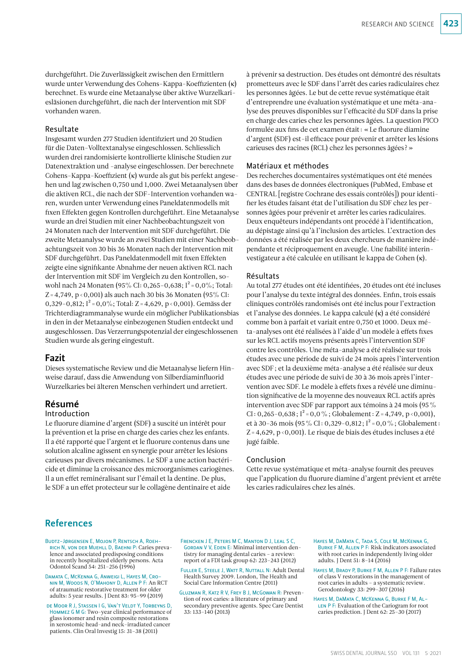durchgeführt. Die Zuverlässigkeit zwischen den Ermittlern wurde unter Verwendung des Cohens-Kappa-Koeffizienten (κ) berechnet. Es wurde eine Metaanalyse über aktive Wurzelkariesläsionen durchgeführt, die nach der Intervention mit SDF vorhanden waren.

#### Resultate

Insgesamt wurden 277 Studien identifiziert und 20 Studien für die Daten-Volltextanalyse eingeschlossen. Schliesslich wurden drei randomisierte kontrollierte klinische Studien zur Datenextraktion und -analyse eingeschlossen. Der berechnete Cohens-Kappa-Koeffizient (κ) wurde als gut bis perfekt angesehen und lag zwischen 0,750 und 1,000. Zwei Metaanalysen über die aktiven RCL, die nach der SDF-Intervention vorhanden waren, wurden unter Verwendung eines Paneldatenmodells mit fixen Effekten gegen Kontrollen durchgeführt. Eine Metaanalyse wurde an drei Studien mit einer Nachbeobachtungszeit von 24 Monaten nach der Intervention mit SDF durchgeführt. Die zweite Metaanalyse wurde an zwei Studien mit einer Nachbeobachtungszeit von 30 bis 36 Monaten nach der Intervention mit SDF durchgeführt. Das Paneldatenmodell mit fixen Effekten zeigte eine signifikante Abnahme der neuen aktiven RCL nach der Intervention mit SDF im Vergleich zu den Kontrollen, sowohl nach 24 Monaten (95% CI: 0,265-0,638;  $I^2 = 0.0\%$ ; Total: Z = 4,749,  $p < 0,001$ ) als auch nach 30 bis 36 Monaten (95% CI: 0,329–0,812; I<sup>2</sup> = 0,0%; Total: Z = 4,629, p < 0,001). Gemäss der Trichterdiagrammanalyse wurde ein möglicher Publikationsbias in den in der Metaanalyse einbezogenen Studien entdeckt und ausgeschlossen. Das Verzerrungspotenzial der eingeschlossenen Studien wurde als gering eingestuft.

## Fazit

Dieses systematische Review und die Metaanalyse liefern Hinweise darauf, dass die Anwendung von Silberdiaminfluorid Wurzelkaries bei älteren Menschen verhindert und arretiert.

## Résumé

#### Introduction

Le fluorure diamine d'argent (SDF) a suscité un intérêt pour la prévention et la prise en charge des caries chez les enfants. Il a été rapporté que l'argent et le fluorure contenus dans une solution alcaline agissent en synergie pour arrêter les lésions carieuses par divers mécanismes. Le SDF a une action bactéricide et diminue la croissance des microorganismes cariogènes. Il a un effet reminéralisant sur l'émail et la dentine. De plus, le SDF a un effet protecteur sur le collagène dentinaire et aide

à prévenir sa destruction. Des études ont démontré des résultats prometteurs avec le SDF dans l'arrêt des caries radiculaires chez les personnes âgées. Le but de cette revue systématique était d'entreprendre une évaluation systématique et une méta-analyse des preuves disponibles sur l'efficacité du SDF dans la prise en charge des caries chez les personnes âgées. La question PICO formulée aux fins de cet examen était: «Le fluorure diamine d'argent (SDF) est-il efficace pour prévenir et arrêter les lésions carieuses des racines (RCL) chez les personnes âgées?»

#### Matériaux et méthodes

Des recherches documentaires systématiques ont été menées dans des bases de données électroniques (PubMed, Embase et CENTRAL [registre Cochrane des essais contrôlés]) pour identifier les études faisant état de l'utilisation du SDF chez les personnes âgées pour prévenir et arrêter les caries radiculaires. Deux enquêteurs indépendants ont procédé à l'identification, au dépistage ainsi qu'à l'inclusion des articles. L'extraction des données a été réalisée par les deux chercheurs de manière indépendante et réciproquement en aveugle. Une fiabilité interinvestigateur a été calculée en utilisant le kappa de Cohen (κ).

## Résultats

Au total 277 études ont été identifiées, 20 études ont été incluses pour l'analyse du texte intégral des données. Enfin, trois essais cliniques contrôlés randomisés ont été inclus pour l'extraction et l'analyse des données. Le kappa calculé (κ) a été considéré comme bon à parfait et variait entre 0,750 et 1000. Deux méta-analyses ont été réalisées à l'aide d'un modèle à effets fixes sur les RCL actifs moyens présents après l'intervention SDF contre les contrôles. Une méta-analyse a été réalisée sur trois études avec une période de suivi de 24 mois après l'intervention avec SDF; et la deuxième méta-analyse a été réalisée sur deux études avec une période de suivi de 30 à 36 mois après l'intervention avec SDF. Le modèle à effets fixes a révélé une diminution significative de la moyenne des nouveaux RCL actifs après intervention avec SDF par rapport aux témoins à 24 mois (95% CI: 0,265-0,638; I<sup>2</sup> = 0,0%; Globalement: Z = 4,749, p < 0,001), et à 30-36 mois (95 % CI: 0,329-0,812;  $I^2 = 0.0$  %; Globalement: Z=4,629, p<0,001). Le risque de biais des études incluses a été jugé faible.

#### Conclusion

Cette revue systématique et méta-analyse fournit des preuves que l'application du fluorure diamine d'argent prévient et arrête les caries radiculaires chez les aînés.

## References

- Budtz-Jørgensen E, Mojon P, Rentsch A, Roehrich N, von der Muehll D, Baehni P: Caries prevalence and associated predisposing conditions in recently hospitalized elderly persons. Acta Odontol Scand 54: 251–256 (1996)
- Damata C, McKenna G, Anweigi L, Hayes M, Cronin M, Woods N, O'Mahony D, Allen P F: An RCT of atraumatic restorative treatment for older adults: 5 year results. J Dent 83: 95–99 (2019)
- de Moor R J, Stassen I G, Van't Veldt Y, Torbeyns D, Hommez G M G: Two-year clinical performance of glass ionomer and resin composite restorations in xerostomic head-and neck-irradiated cancer patients. Clin Oral Investig 15: 31–38 (2011)
- Frencken J E, Peters M C, Manton D J, Leal S C, GORDAN V V, EDEN E: Minimal intervention dentistry for managing dental caries – a review: report of a FDI task group 62: 223–243 (2012)
- Fuller E, Steele J, Watt R, Nuttall N: Adult Dental Health Survey 2009. London, The Health and Social Care Information Centre (2011)
- Gluzman R, Katz R V, Frey B J, McGowan R: Prevention of root caries: a literature of primary and secondary preventive agents. Spec Care Dentist 33: 133–140 (2013)
- HAYES M, DAMATA C, TADA S, COLE M, MCKENNA G, Burke F M, Allen P F: Risk indicators associated with root caries in independently living older adults. J Dent 51: 8–14 (2016)
- Hayes M, Brady P, Burke F M, Allen P F: Failure rates of class V restorations in the management of root caries in adults – a systematic review. Gerodontology 33: 299–307 (2016)
- Hayes M, DaMata C, McKenna G, Burke F M, Al-LEN P F: Evaluation of the Cariogram for root caries prediction. J Dent 62: 25–30 (2017)